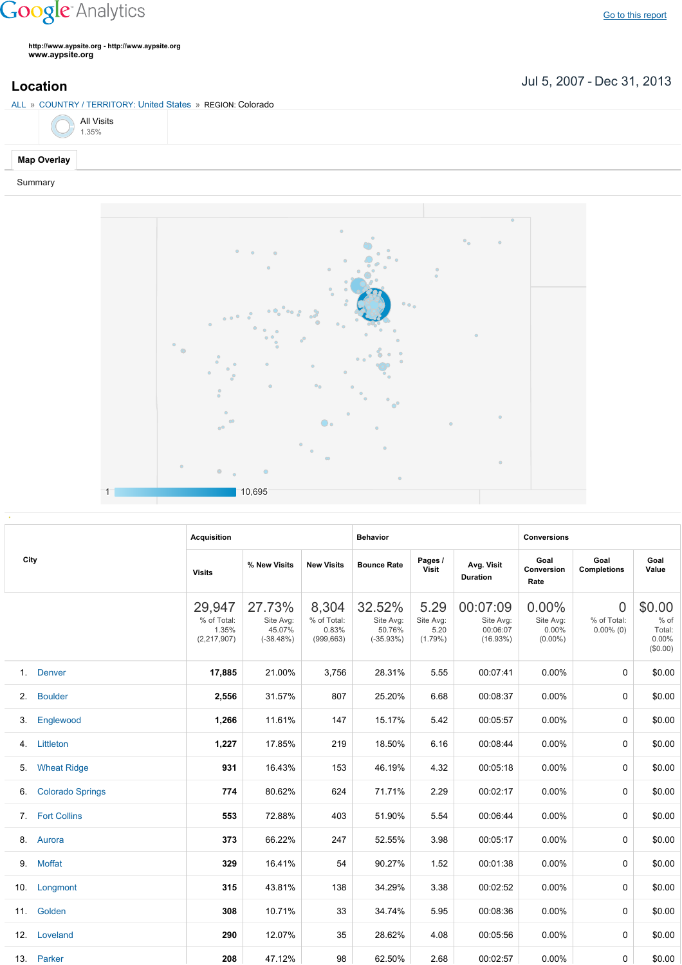## **Google** Analytics

**http://www.aypsite.org http://www.aypsite.org www.aypsite.org**

**Location** Jul 5, 2007 - Dec 31, 2013

|  |  |  | ALL » COUNTRY / TERRITORY: United States » REGION: Colorado |  |
|--|--|--|-------------------------------------------------------------|--|
|  |  |  |                                                             |  |

|  | <b>All Visits</b><br>1.35% |
|--|----------------------------|
|  |                            |

## **Map Overlay**

Summary



|                |                         | <b>Acquisition</b>                              |                                              |                                             | <b>Behavior</b>                              |                                         |                                               | <b>Conversions</b>                        |                                         |                                               |  |
|----------------|-------------------------|-------------------------------------------------|----------------------------------------------|---------------------------------------------|----------------------------------------------|-----------------------------------------|-----------------------------------------------|-------------------------------------------|-----------------------------------------|-----------------------------------------------|--|
| City           |                         | <b>Visits</b>                                   | % New Visits                                 | <b>New Visits</b>                           | <b>Bounce Rate</b>                           | Pages /<br>Visit                        | Avg. Visit<br><b>Duration</b>                 | Goal<br>Conversion<br>Rate                | Goal<br><b>Completions</b>              | Goal<br>Value                                 |  |
|                |                         | 29,947<br>% of Total:<br>1.35%<br>(2, 217, 907) | 27.73%<br>Site Avg:<br>45.07%<br>$(-38.48%)$ | 8,304<br>% of Total:<br>0.83%<br>(999, 663) | 32.52%<br>Site Avg:<br>50.76%<br>$(-35.93%)$ | 5.29<br>Site Avg:<br>5.20<br>$(1.79\%)$ | 00:07:09<br>Site Avg:<br>00:06:07<br>(16.93%) | 0.00%<br>Site Avg:<br>0.00%<br>$(0.00\%)$ | $\Omega$<br>% of Total:<br>$0.00\%$ (0) | \$0.00<br>% of<br>Total:<br>0.00%<br>(\$0.00) |  |
|                | 1. Denver               | 17,885                                          | 21.00%                                       | 3,756                                       | 28.31%                                       | 5.55                                    | 00:07:41                                      | $0.00\%$                                  | $\Omega$                                | \$0.00                                        |  |
| 2 <sub>1</sub> | <b>Boulder</b>          | 2,556                                           | 31.57%                                       | 807                                         | 25.20%                                       | 6.68                                    | 00:08:37                                      | 0.00%                                     | $\Omega$                                | \$0.00                                        |  |
| 3.             | Englewood               | 1,266                                           | 11.61%                                       | 147                                         | 15.17%                                       | 5.42                                    | 00:05:57                                      | 0.00%                                     | 0                                       | \$0.00                                        |  |
| 4.             | Littleton               | 1,227                                           | 17.85%                                       | 219                                         | 18.50%                                       | 6.16                                    | 00:08:44                                      | 0.00%                                     | $\Omega$                                | \$0.00                                        |  |
| 5.             | <b>Wheat Ridge</b>      | 931                                             | 16.43%                                       | 153                                         | 46.19%                                       | 4.32                                    | 00:05:18                                      | $0.00\%$                                  | $\Omega$                                | \$0.00                                        |  |
| 6.             | <b>Colorado Springs</b> | 774                                             | 80.62%                                       | 624                                         | 71.71%                                       | 2.29                                    | 00:02:17                                      | $0.00\%$                                  | $\Omega$                                | \$0.00                                        |  |
| 7 <sub>1</sub> | <b>Fort Collins</b>     | 553                                             | 72.88%                                       | 403                                         | 51.90%                                       | 5.54                                    | 00:06:44                                      | 0.00%                                     | $\Omega$                                | \$0.00                                        |  |
| 8.             | Aurora                  | 373                                             | 66.22%                                       | 247                                         | 52.55%                                       | 3.98                                    | 00:05:17                                      | 0.00%                                     | $\Omega$                                | \$0.00                                        |  |
| 9.             | Moffat                  | 329                                             | 16.41%                                       | 54                                          | 90.27%                                       | 1.52                                    | 00:01:38                                      | 0.00%                                     | $\Omega$                                | \$0.00                                        |  |
| 10.            | Longmont                | 315                                             | 43.81%                                       | 138                                         | 34.29%                                       | 3.38                                    | 00:02:52                                      | $0.00\%$                                  | $\Omega$                                | \$0.00                                        |  |
| 11.            | Golden                  | 308                                             | 10.71%                                       | 33                                          | 34.74%                                       | 5.95                                    | 00:08:36                                      | 0.00%                                     | $\Omega$                                | \$0.00                                        |  |
| 12.            | Loveland                | 290                                             | 12.07%                                       | 35                                          | 28.62%                                       | 4.08                                    | 00:05:56                                      | 0.00%                                     | $\Omega$                                | \$0.00                                        |  |
|                | 13. Parker              | 208                                             | 47.12%                                       | 98                                          | 62.50%                                       | 2.68                                    | 00:02:57                                      | 0.00%                                     | 0                                       | \$0.00                                        |  |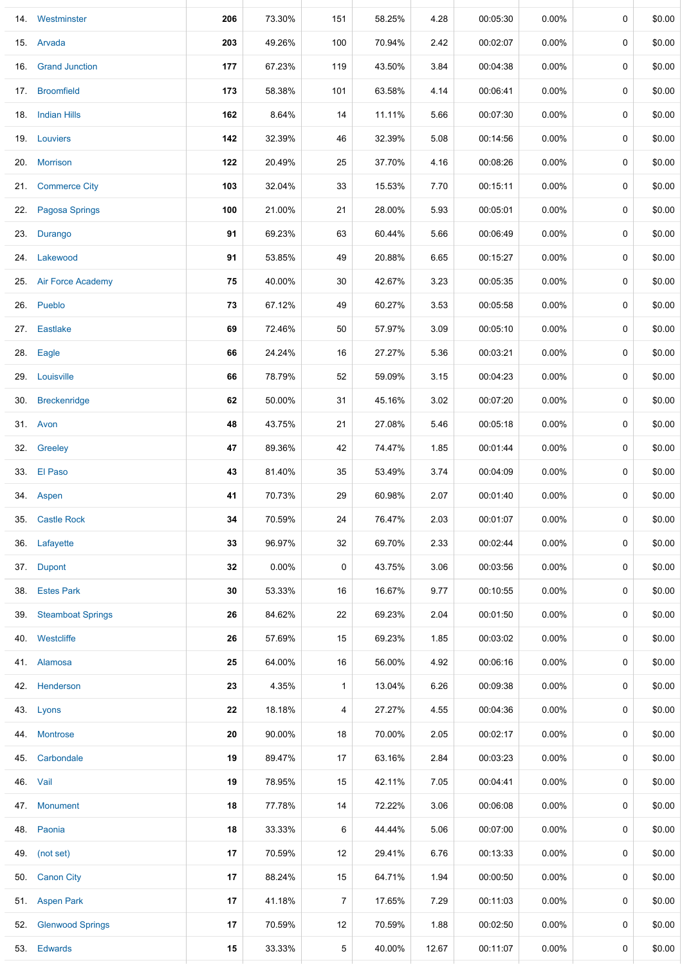|     | 14. Westminster         | 206 | 73.30% | 151            | 58.25% | 4.28  | 00:05:30 | 0.00%    | 0           | \$0.00 |
|-----|-------------------------|-----|--------|----------------|--------|-------|----------|----------|-------------|--------|
|     | 15. Arvada              | 203 | 49.26% | 100            | 70.94% | 2.42  | 00:02:07 | $0.00\%$ | 0           | \$0.00 |
|     | 16. Grand Junction      | 177 | 67.23% | 119            | 43.50% | 3.84  | 00:04:38 | $0.00\%$ | 0           | \$0.00 |
|     | 17. Broomfield          | 173 | 58.38% | 101            | 63.58% | 4.14  | 00:06:41 | $0.00\%$ | 0           | \$0.00 |
|     | 18. Indian Hills        | 162 | 8.64%  | 14             | 11.11% | 5.66  | 00:07:30 | 0.00%    | 0           | \$0.00 |
|     | 19. Louviers            | 142 | 32.39% | 46             | 32.39% | 5.08  | 00:14:56 | $0.00\%$ | 0           | \$0.00 |
|     | 20. Morrison            | 122 | 20.49% | 25             | 37.70% | 4.16  | 00:08:26 | 0.00%    | 0           | \$0.00 |
|     | 21. Commerce City       | 103 | 32.04% | 33             | 15.53% | 7.70  | 00:15:11 | 0.00%    | 0           | \$0.00 |
|     | 22. Pagosa Springs      | 100 | 21.00% | 21             | 28.00% | 5.93  | 00:05:01 | $0.00\%$ | 0           | \$0.00 |
|     | 23. Durango             | 91  | 69.23% | 63             | 60.44% | 5.66  | 00:06:49 | $0.00\%$ | 0           | \$0.00 |
|     | 24. Lakewood            | 91  | 53.85% | 49             | 20.88% | 6.65  | 00:15:27 | $0.00\%$ | 0           | \$0.00 |
|     | 25. Air Force Academy   | 75  | 40.00% | 30             | 42.67% | 3.23  | 00:05:35 | $0.00\%$ | 0           | \$0.00 |
|     | 26. Pueblo              | 73  | 67.12% | 49             | 60.27% | 3.53  | 00:05:58 | $0.00\%$ | 0           | \$0.00 |
|     | 27. Eastlake            | 69  | 72.46% | 50             | 57.97% | 3.09  | 00:05:10 | $0.00\%$ | 0           | \$0.00 |
|     | 28. Eagle               | 66  | 24.24% | 16             | 27.27% | 5.36  | 00:03:21 | $0.00\%$ | 0           | \$0.00 |
|     | 29. Louisville          | 66  | 78.79% | 52             | 59.09% | 3.15  | 00:04:23 | $0.00\%$ | 0           | \$0.00 |
|     | 30. Breckenridge        | 62  | 50.00% | 31             | 45.16% | 3.02  | 00:07:20 | $0.00\%$ | 0           | \$0.00 |
|     | 31. Avon                | 48  | 43.75% | 21             | 27.08% | 5.46  | 00:05:18 | $0.00\%$ | 0           | \$0.00 |
|     | 32. Greeley             | 47  | 89.36% | 42             | 74.47% | 1.85  | 00:01:44 | $0.00\%$ | 0           | \$0.00 |
|     | 33. El Paso             | 43  | 81.40% | 35             | 53.49% | 3.74  | 00:04:09 | 0.00%    | 0           | \$0.00 |
|     | 34. Aspen               | 41  | 70.73% | 29             | 60.98% | 2.07  | 00:01:40 | $0.00\%$ | 0           | \$0.00 |
|     | 35. Castle Rock         | 34  | 70.59% | 24             | 76.47% | 2.03  | 00:01:07 | $0.00\%$ | 0           | \$0.00 |
|     | 36. Lafayette           | 33  | 96.97% | 32             | 69.70% | 2.33  | 00:02:44 | $0.00\%$ | $\mathbf 0$ | \$0.00 |
|     | 37. Dupont              | 32  | 0.00%  | 0              | 43.75% | 3.06  | 00:03:56 | 0.00%    | 0           | \$0.00 |
|     | 38. Estes Park          | 30  | 53.33% | 16             | 16.67% | 9.77  | 00:10:55 | 0.00%    | 0           | \$0.00 |
|     | 39. Steamboat Springs   | 26  | 84.62% | 22             | 69.23% | 2.04  | 00:01:50 | $0.00\%$ | 0           | \$0.00 |
|     | 40. Westcliffe          | 26  | 57.69% | 15             | 69.23% | 1.85  | 00:03:02 | $0.00\%$ | 0           | \$0.00 |
|     | 41. Alamosa             | 25  | 64.00% | 16             | 56.00% | 4.92  | 00:06:16 | $0.00\%$ | 0           | \$0.00 |
|     | 42. Henderson           | 23  | 4.35%  | $\mathbf{1}$   | 13.04% | 6.26  | 00:09:38 | $0.00\%$ | 0           | \$0.00 |
|     | 43. Lyons               | 22  | 18.18% | 4              | 27.27% | 4.55  | 00:04:36 | $0.00\%$ | 0           | \$0.00 |
|     | 44. Montrose            | 20  | 90.00% | 18             | 70.00% | 2.05  | 00:02:17 | $0.00\%$ | 0           | \$0.00 |
|     | 45. Carbondale          | 19  | 89.47% | 17             | 63.16% | 2.84  | 00:03:23 | $0.00\%$ | 0           | \$0.00 |
|     | 46. Vail                | 19  | 78.95% | 15             | 42.11% | 7.05  | 00:04:41 | 0.00%    | 0           | \$0.00 |
|     | 47. Monument            | 18  | 77.78% | 14             | 72.22% | 3.06  | 00:06:08 | $0.00\%$ | 0           | \$0.00 |
|     | 48. Paonia              | 18  | 33.33% | 6              | 44.44% | 5.06  | 00:07:00 | $0.00\%$ | 0           | \$0.00 |
|     | 49. (not set)           | 17  | 70.59% | 12             | 29.41% | 6.76  | 00:13:33 | 0.00%    | 0           | \$0.00 |
|     | 50. Canon City          | 17  | 88.24% | 15             | 64.71% | 1.94  | 00:00:50 | 0.00%    | 0           | \$0.00 |
|     | 51. Aspen Park          | 17  | 41.18% | $\overline{7}$ | 17.65% | 7.29  | 00:11:03 | 0.00%    | 0           | \$0.00 |
| 52. | <b>Glenwood Springs</b> | 17  | 70.59% | 12             | 70.59% | 1.88  | 00:02:50 | $0.00\%$ | 0           | \$0.00 |
|     | 53. Edwards             | 15  | 33.33% | 5              | 40.00% | 12.67 | 00:11:07 | 0.00%    | 0           | \$0.00 |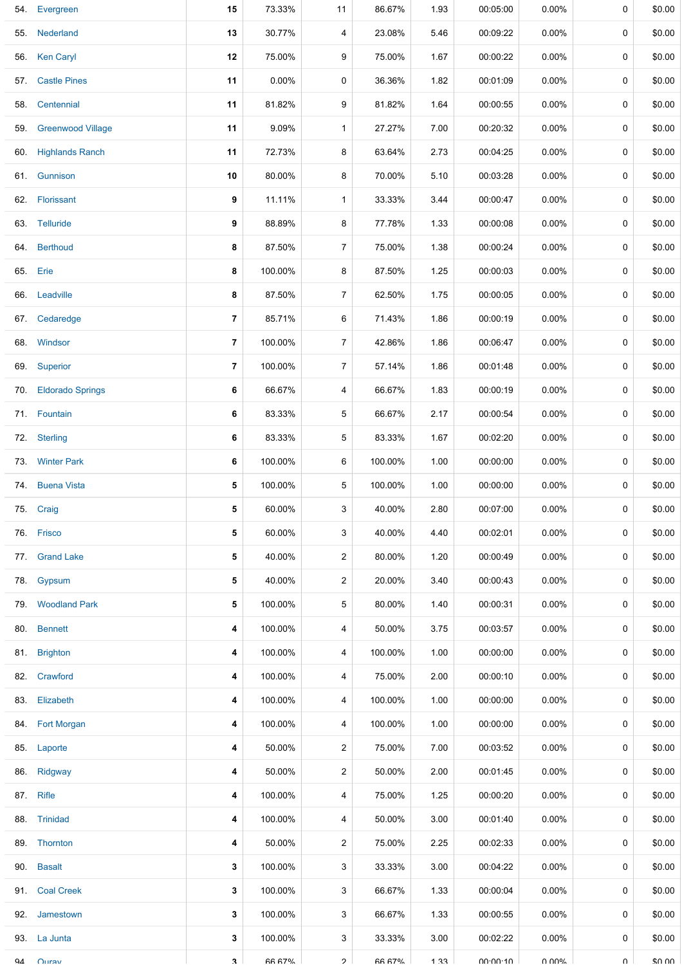|     | 54. Evergreen         | 15             | 73.33%        | 11             | 86.67%        | 1.93 | 00:05:00 | 0.00%    | 0      | \$0.00 |
|-----|-----------------------|----------------|---------------|----------------|---------------|------|----------|----------|--------|--------|
|     | 55. Nederland         | 13             | 30.77%        | 4              | 23.08%        | 5.46 | 00:09:22 | $0.00\%$ | 0      | \$0.00 |
|     | 56. Ken Caryl         | 12             | 75.00%        | 9              | 75.00%        | 1.67 | 00:00:22 | $0.00\%$ | 0      | \$0.00 |
| 57. | <b>Castle Pines</b>   | 11             | $0.00\%$      | 0              | 36.36%        | 1.82 | 00:01:09 | $0.00\%$ | 0      | \$0.00 |
|     | 58. Centennial        | 11             | 81.82%        | 9              | 81.82%        | 1.64 | 00:00:55 | $0.00\%$ | 0      | \$0.00 |
|     | 59. Greenwood Village | 11             | 9.09%         | $\mathbf{1}$   | 27.27%        | 7.00 | 00:20:32 | $0.00\%$ | 0      | \$0.00 |
|     | 60. Highlands Ranch   | 11             | 72.73%        | 8              | 63.64%        | 2.73 | 00:04:25 | $0.00\%$ | 0      | \$0.00 |
| 61. | Gunnison              | 10             | 80.00%        | 8              | 70.00%        | 5.10 | 00:03:28 | $0.00\%$ | 0      | \$0.00 |
|     | 62. Florissant        | 9              | 11.11%        | $\mathbf{1}$   | 33.33%        | 3.44 | 00:00:47 | $0.00\%$ | 0      | \$0.00 |
|     | 63. Telluride         | 9              | 88.89%        | 8              | 77.78%        | 1.33 | 00:00:08 | $0.00\%$ | 0      | \$0.00 |
|     | 64. Berthoud          | 8              | 87.50%        | $\overline{7}$ | 75.00%        | 1.38 | 00:00:24 | $0.00\%$ | 0      | \$0.00 |
|     | 65. Erie              | 8              | 100.00%       | 8              | 87.50%        | 1.25 | 00:00:03 | $0.00\%$ | 0      | \$0.00 |
|     | 66. Leadville         | 8              | 87.50%        | 7              | 62.50%        | 1.75 | 00:00:05 | $0.00\%$ | 0      | \$0.00 |
| 67. | Cedaredge             | $\overline{7}$ | 85.71%        | 6              | 71.43%        | 1.86 | 00:00:19 | $0.00\%$ | 0      | \$0.00 |
|     | 68. Windsor           | $\overline{7}$ | 100.00%       | $\overline{7}$ | 42.86%        | 1.86 | 00:06:47 | $0.00\%$ | 0      | \$0.00 |
|     | 69. Superior          | $\overline{7}$ | 100.00%       | $\overline{7}$ | 57.14%        | 1.86 | 00:01:48 | $0.00\%$ | 0      | \$0.00 |
|     | 70. Eldorado Springs  | 6              | 66.67%        | 4              | 66.67%        | 1.83 | 00:00:19 | $0.00\%$ | 0      | \$0.00 |
|     | 71. Fountain          | 6              | 83.33%        | 5              | 66.67%        | 2.17 | 00:00:54 | $0.00\%$ | 0      | \$0.00 |
|     | 72. Sterling          | 6              | 83.33%        | 5              | 83.33%        | 1.67 | 00:02:20 | $0.00\%$ | 0      | \$0.00 |
|     | 73. Winter Park       | 6              | 100.00%       | 6              | 100.00%       | 1.00 | 00:00:00 | $0.00\%$ | 0      | \$0.00 |
| 74. | <b>Buena Vista</b>    | 5              | 100.00%       | 5              | 100.00%       | 1.00 | 00:00:00 | $0.00\%$ | 0      | \$0.00 |
|     | 75. Craig             | 5              | 60.00%        | 3              | 40.00%        | 2.80 | 00:07:00 | $0.00\%$ | 0      | \$0.00 |
|     | 76. Frisco            | 5              | 60.00%        | 3              | 40.00%        | 4.40 | 00:02:01 | $0.00\%$ | 0      | \$0.00 |
|     | 77. Grand Lake        | 5              | 40.00%        | 2              | 80.00%        | 1.20 | 00:00:49 | $0.00\%$ | 0      | \$0.00 |
| 78. | Gypsum                | 5              | 40.00%        | $\overline{2}$ | 20.00%        | 3.40 | 00:00:43 | $0.00\%$ | 0      | \$0.00 |
|     | 79. Woodland Park     | 5              | 100.00%       | 5              | 80.00%        | 1.40 | 00:00:31 | $0.00\%$ | 0      | \$0.00 |
|     | 80. Bennett           | 4              | 100.00%       | 4              | 50.00%        | 3.75 | 00:03:57 | $0.00\%$ | 0      | \$0.00 |
|     | 81. Brighton          | 4              | 100.00%       | 4              | 100.00%       | 1.00 | 00:00:00 | $0.00\%$ | 0      | \$0.00 |
|     | 82. Crawford          | 4              | 100.00%       | 4              | 75.00%        | 2.00 | 00:00:10 | $0.00\%$ | 0      | \$0.00 |
|     | 83. Elizabeth         | 4              | 100.00%       | 4              | 100.00%       | 1.00 | 00:00:00 | $0.00\%$ | 0      | \$0.00 |
|     | 84. Fort Morgan       | 4              | 100.00%       | 4              | 100.00%       | 1.00 | 00:00:00 | $0.00\%$ | 0      | \$0.00 |
|     | 85. Laporte           | 4              | 50.00%        | 2              | 75.00%        | 7.00 | 00:03:52 | $0.00\%$ | 0      | \$0.00 |
|     | 86. Ridgway           | 4              | 50.00%        | 2              | 50.00%        | 2.00 | 00:01:45 | $0.00\%$ | 0      | \$0.00 |
|     | 87. Rifle             | 4              | 100.00%       | 4              | 75.00%        | 1.25 | 00:00:20 | $0.00\%$ | 0      | \$0.00 |
|     | 88. Trinidad          | 4              | 100.00%       | 4              | 50.00%        | 3.00 | 00:01:40 | $0.00\%$ | 0      | \$0.00 |
|     | 89. Thornton          | 4              | 50.00%        | $\overline{2}$ | 75.00%        | 2.25 | 00:02:33 | $0.00\%$ | 0      | \$0.00 |
|     | 90. Basalt            | 3              | 100.00%       | 3              | 33.33%        | 3.00 | 00:04:22 | $0.00\%$ | 0      | \$0.00 |
|     | 91. Coal Creek        | 3              | 100.00%       | 3              | 66.67%        | 1.33 | 00:00:04 | $0.00\%$ | 0      | \$0.00 |
|     | 92. Jamestown         | 3              | 100.00%       | 3              | 66.67%        | 1.33 | 00:00:55 | $0.00\%$ | 0      | \$0.00 |
|     | 93. La Junta          | 3              | 100.00%       | 3              | 33.33%        | 3.00 | 00:02:22 | $0.00\%$ | 0      | \$0.00 |
| Q⊿  | O(                    | $\mathbf{R}$   | <b>66 67%</b> | $\mathcal{P}$  | <b>66 67%</b> | 1.33 | 00.00.10 | U UUN    | $\cap$ | \$0.00 |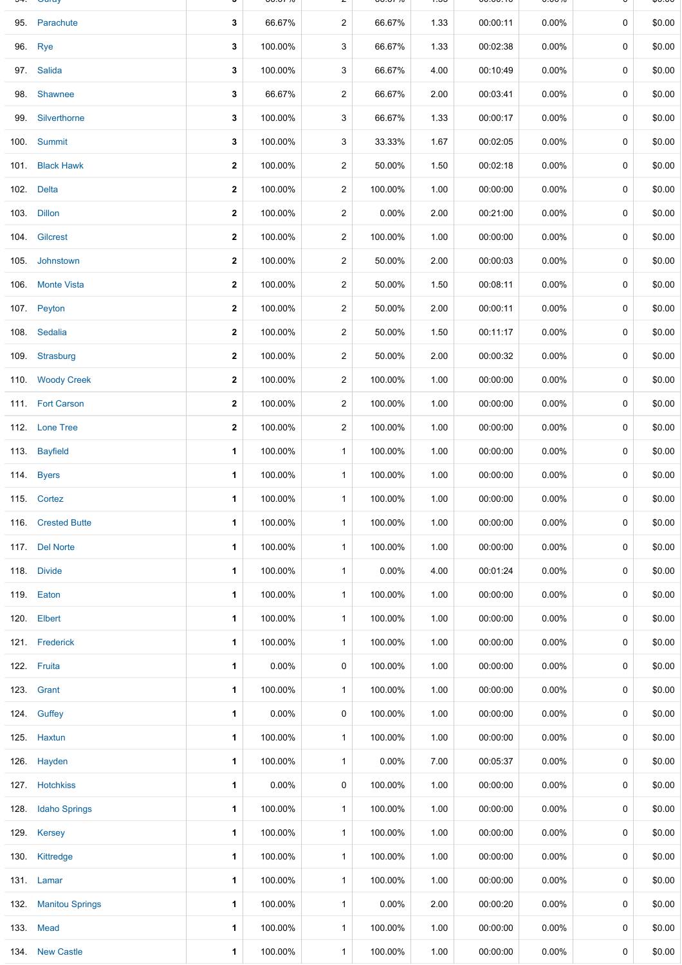|      | <b>Ouray</b>           |              | 00.OT 70 |                | <b>00.0170</b> | u    | 00.00.10 | <b>0.0070</b> |             | ψυ.υυ  |
|------|------------------------|--------------|----------|----------------|----------------|------|----------|---------------|-------------|--------|
|      | 95. Parachute          | 3            | 66.67%   | $\overline{2}$ | 66.67%         | 1.33 | 00:00:11 | $0.00\%$      | $\mathbf 0$ | \$0.00 |
|      | 96. Rye                | 3            | 100.00%  | 3              | 66.67%         | 1.33 | 00:02:38 | $0.00\%$      | 0           | \$0.00 |
|      | 97. Salida             | 3            | 100.00%  | 3              | 66.67%         | 4.00 | 00:10:49 | $0.00\%$      | 0           | \$0.00 |
| 98.  | Shawnee                | 3            | 66.67%   | $\overline{c}$ | 66.67%         | 2.00 | 00:03:41 | $0.00\%$      | 0           | \$0.00 |
|      | 99. Silverthorne       | 3            | 100.00%  | 3              | 66.67%         | 1.33 | 00:00:17 | $0.00\%$      | 0           | \$0.00 |
|      | 100. Summit            | 3            | 100.00%  | 3              | 33.33%         | 1.67 | 00:02:05 | $0.00\%$      | 0           | \$0.00 |
|      | 101. Black Hawk        | $\mathbf{2}$ | 100.00%  | $\overline{c}$ | 50.00%         | 1.50 | 00:02:18 | $0.00\%$      | 0           | \$0.00 |
|      | 102. Delta             | $\mathbf{2}$ | 100.00%  | $\overline{c}$ | 100.00%        | 1.00 | 00:00:00 | $0.00\%$      | 0           | \$0.00 |
|      | 103. Dillon            | $\mathbf{2}$ | 100.00%  | $\overline{2}$ | $0.00\%$       | 2.00 | 00:21:00 | $0.00\%$      | 0           | \$0.00 |
|      | 104. Gilcrest          | $\mathbf{2}$ | 100.00%  | $\overline{c}$ | 100.00%        | 1.00 | 00:00:00 | $0.00\%$      | 0           | \$0.00 |
|      | 105. Johnstown         | $\mathbf{2}$ | 100.00%  | $\overline{2}$ | 50.00%         | 2.00 | 00:00:03 | $0.00\%$      | 0           | \$0.00 |
|      | 106. Monte Vista       | $\mathbf 2$  | 100.00%  | $\overline{c}$ | 50.00%         | 1.50 | 00:08:11 | $0.00\%$      | 0           | \$0.00 |
|      | 107. Peyton            | $\mathbf{2}$ | 100.00%  | $\overline{2}$ | 50.00%         | 2.00 | 00:00:11 | $0.00\%$      | 0           | \$0.00 |
|      | 108. Sedalia           | $\mathbf 2$  | 100.00%  | $\overline{c}$ | 50.00%         | 1.50 | 00:11:17 | 0.00%         | 0           | \$0.00 |
|      | 109. Strasburg         | $\mathbf{2}$ | 100.00%  | $\overline{c}$ | 50.00%         | 2.00 | 00:00:32 | $0.00\%$      | 0           | \$0.00 |
|      | 110. Woody Creek       | $\mathbf{2}$ | 100.00%  | $\overline{c}$ | 100.00%        | 1.00 | 00:00:00 | $0.00\%$      | 0           | \$0.00 |
|      | 111. Fort Carson       | $\mathbf{2}$ | 100.00%  | $\overline{2}$ | 100.00%        | 1.00 | 00:00:00 | $0.00\%$      | 0           | \$0.00 |
|      | 112. Lone Tree         | $\mathbf{2}$ | 100.00%  | $\overline{c}$ | 100.00%        | 1.00 | 00:00:00 | 0.00%         | 0           | \$0.00 |
|      | 113. Bayfield          | 1            | 100.00%  | $\mathbf{1}$   | 100.00%        | 1.00 | 00:00:00 | $0.00\%$      | 0           | \$0.00 |
|      | 114. Byers             | 1            | 100.00%  | $\mathbf{1}$   | 100.00%        | 1.00 | 00:00:00 | 0.00%         | 0           | \$0.00 |
|      | 115. Cortez            | 1            | 100.00%  | $\mathbf{1}$   | 100.00%        | 1.00 | 00:00:00 | $0.00\%$      | 0           | \$0.00 |
|      | 116. Crested Butte     | 1            | 100.00%  | $\mathbf{1}$   | 100.00%        | 1.00 | 00:00:00 | 0.00%         | 0           | \$0.00 |
|      | 117. Del Norte         | 1            | 100.00%  | $\mathbf{1}$   | 100.00%        | 1.00 | 00:00:00 | 0.00%         | 0           | \$0.00 |
|      | 118. Divide            | 1            | 100.00%  | $\mathbf{1}$   | $0.00\%$       | 4.00 | 00:01:24 | $0.00\%$      | 0           | \$0.00 |
|      | 119. Eaton             | 1            | 100.00%  | $\mathbf{1}$   | 100.00%        | 1.00 | 00:00:00 | 0.00%         | 0           | \$0.00 |
|      | 120. Elbert            | 1            | 100.00%  | $\mathbf{1}$   | 100.00%        | 1.00 | 00:00:00 | $0.00\%$      | 0           | \$0.00 |
|      | 121. Frederick         | 1            | 100.00%  | $\mathbf{1}$   | 100.00%        | 1.00 | 00:00:00 | $0.00\%$      | 0           | \$0.00 |
|      | 122. Fruita            | 1            | $0.00\%$ | 0              | 100.00%        | 1.00 | 00:00:00 | $0.00\%$      | 0           | \$0.00 |
|      | 123. Grant             | 1            | 100.00%  | $\mathbf{1}$   | 100.00%        | 1.00 | 00:00:00 | $0.00\%$      | 0           | \$0.00 |
|      | 124. Guffey            | 1            | 0.00%    | 0              | 100.00%        | 1.00 | 00:00:00 | $0.00\%$      | 0           | \$0.00 |
|      | 125. Haxtun            | 1            | 100.00%  | $\mathbf{1}$   | 100.00%        | 1.00 | 00:00:00 | $0.00\%$      | 0           | \$0.00 |
|      | 126. Hayden            | 1            | 100.00%  | $\mathbf{1}$   | $0.00\%$       | 7.00 | 00:05:37 | $0.00\%$      | 0           | \$0.00 |
|      | 127 Hotchkiss          | 1            | 0.00%    | 0              | 100.00%        | 1.00 | 00:00:00 | $0.00\%$      | 0           | \$0.00 |
| 128. | <b>Idaho Springs</b>   | 1            | 100.00%  | $\mathbf{1}$   | 100.00%        | 1.00 | 00:00:00 | 0.00%         | 0           | \$0.00 |
|      | 129. Kersey            | 1            | 100.00%  | $\mathbf{1}$   | 100.00%        | 1.00 | 00:00:00 | $0.00\%$      | 0           | \$0.00 |
|      | 130. Kittredge         | 1            | 100.00%  | $\mathbf{1}$   | 100.00%        | 1.00 | 00:00:00 | 0.00%         | 0           | \$0.00 |
|      | 131. Lamar             | 1            | 100.00%  | $\mathbf{1}$   | 100.00%        | 1.00 | 00:00:00 | $0.00\%$      | 0           | \$0.00 |
| 132. | <b>Manitou Springs</b> | 1            | 100.00%  | $\mathbf{1}$   | $0.00\%$       | 2.00 | 00:00:20 | $0.00\%$      | 0           | \$0.00 |
|      | 133. Mead              | 1            | 100.00%  | $\mathbf{1}$   | 100.00%        | 1.00 | 00:00:00 | $0.00\%$      | 0           | \$0.00 |
|      | 134 New Castle         | 1            | 100.00%  | $\mathbf{1}$   | 100.00%        | 1.00 | 00:00:00 | $0.00\%$      | 0           | \$0.00 |